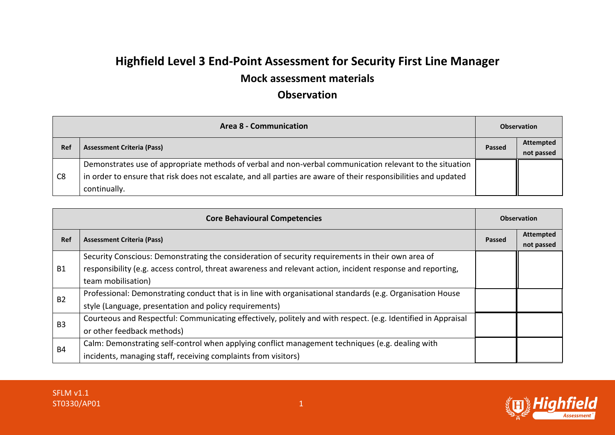## **Highfield Level 3 End-Point Assessment for Security First Line Manager**

## **Mock assessment materials**

## **Observation**

| <b>Area 8 - Communication</b> |                                                                                                                 | <b>Observation</b> |                  |
|-------------------------------|-----------------------------------------------------------------------------------------------------------------|--------------------|------------------|
| Ref                           | <b>Assessment Criteria (Pass)</b>                                                                               | Passed             | <b>Attempted</b> |
|                               |                                                                                                                 |                    | not passed       |
| C <sub>8</sub>                | Demonstrates use of appropriate methods of verbal and non-verbal communication relevant to the situation        |                    |                  |
|                               | in order to ensure that risk does not escalate, and all parties are aware of their responsibilities and updated |                    |                  |
|                               | continually.                                                                                                    |                    |                  |

| <b>Core Behavioural Competencies</b> |                                                                                                               | <b>Observation</b> |                                |
|--------------------------------------|---------------------------------------------------------------------------------------------------------------|--------------------|--------------------------------|
| Ref                                  | <b>Assessment Criteria (Pass)</b>                                                                             | <b>Passed</b>      | <b>Attempted</b><br>not passed |
| <b>B1</b>                            | Security Conscious: Demonstrating the consideration of security requirements in their own area of             |                    |                                |
|                                      | responsibility (e.g. access control, threat awareness and relevant action, incident response and reporting,   |                    |                                |
|                                      | team mobilisation)                                                                                            |                    |                                |
| <b>B2</b>                            | Professional: Demonstrating conduct that is in line with organisational standards (e.g. Organisation House    |                    |                                |
|                                      | style (Language, presentation and policy requirements)                                                        |                    |                                |
| B <sub>3</sub>                       | Courteous and Respectful: Communicating effectively, politely and with respect. (e.g. Identified in Appraisal |                    |                                |
|                                      | or other feedback methods)                                                                                    |                    |                                |
| <b>B4</b>                            | Calm: Demonstrating self-control when applying conflict management techniques (e.g. dealing with              |                    |                                |
|                                      | incidents, managing staff, receiving complaints from visitors)                                                |                    |                                |